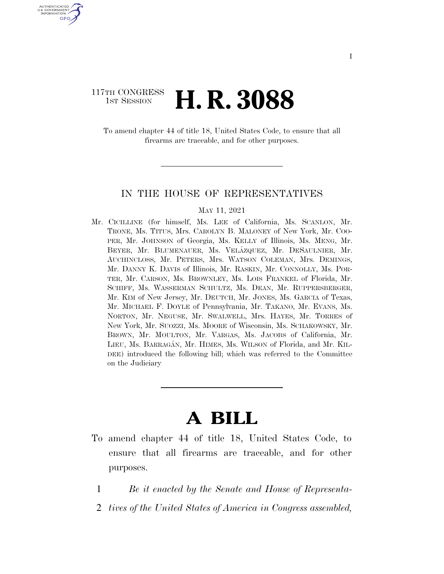### 117TH CONGRESS **1st Session H. R. 3088**

U.S. GOVERNMENT GPO

> To amend chapter 44 of title 18, United States Code, to ensure that all firearms are traceable, and for other purposes.

### IN THE HOUSE OF REPRESENTATIVES

#### MAY 11, 2021

Mr. CICILLINE (for himself, Ms. LEE of California, Ms. SCANLON, Mr. TRONE, Ms. TITUS, Mrs. CAROLYN B. MALONEY of New York, Mr. COO-PER, Mr. JOHNSON of Georgia, Ms. KELLY of Illinois, Ms. MENG, Mr. BEYER, Mr. BLUMENAUER, Ms. VELA´ZQUEZ, Mr. DESAULNIER, Mr. AUCHINCLOSS, Mr. PETERS, Mrs. WATSON COLEMAN, Mrs. DEMINGS, Mr. DANNY K. DAVIS of Illinois, Mr. RASKIN, Mr. CONNOLLY, Ms. POR-TER, Mr. CARSON, Ms. BROWNLEY, Ms. LOIS FRANKEL of Florida, Mr. SCHIFF, Ms. WASSERMAN SCHULTZ, Ms. DEAN, Mr. RUPPERSBERGER, Mr. KIM of New Jersey, Mr. DEUTCH, Mr. JONES, Ms. GARCIA of Texas, Mr. MICHAEL F. DOYLE of Pennsylvania, Mr. TAKANO, Mr. EVANS, Ms. NORTON, Mr. NEGUSE, Mr. SWALWELL, Mrs. HAYES, Mr. TORRES of New York, Mr. SUOZZI, Ms. MOORE of Wisconsin, Ms. SCHAKOWSKY, Mr. BROWN, Mr. MOULTON, Mr. VARGAS, Ms. JACOBS of California, Mr. LIEU, Ms. BARRAGA´N, Mr. HIMES, Ms. WILSON of Florida, and Mr. KIL-DEE) introduced the following bill; which was referred to the Committee on the Judiciary

# **A BILL**

- To amend chapter 44 of title 18, United States Code, to ensure that all firearms are traceable, and for other purposes.
	- 1 *Be it enacted by the Senate and House of Representa-*
	- 2 *tives of the United States of America in Congress assembled,*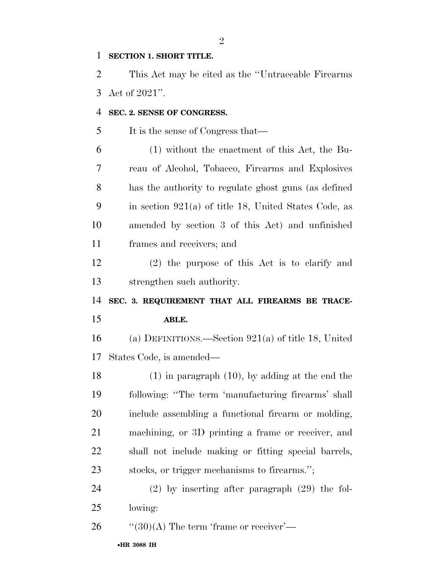### **SECTION 1. SHORT TITLE.**

 This Act may be cited as the ''Untraceable Firearms Act of 2021''.

### **SEC. 2. SENSE OF CONGRESS.**

5 It is the sense of Congress that—

 (1) without the enactment of this Act, the Bu- reau of Alcohol, Tobacco, Firearms and Explosives has the authority to regulate ghost guns (as defined in section 921(a) of title 18, United States Code, as amended by section 3 of this Act) and unfinished frames and receivers; and

 (2) the purpose of this Act is to clarify and strengthen such authority.

## **SEC. 3. REQUIREMENT THAT ALL FIREARMS BE TRACE-ABLE.**

 (a) DEFINITIONS.—Section 921(a) of title 18, United States Code, is amended—

 (1) in paragraph (10), by adding at the end the following: ''The term 'manufacturing firearms' shall include assembling a functional firearm or molding, machining, or 3D printing a frame or receiver, and shall not include making or fitting special barrels, stocks, or trigger mechanisms to firearms.'';

 (2) by inserting after paragraph (29) the fol-lowing:

26  $\frac{1}{20}$  (30)(A) The term 'frame or receiver'—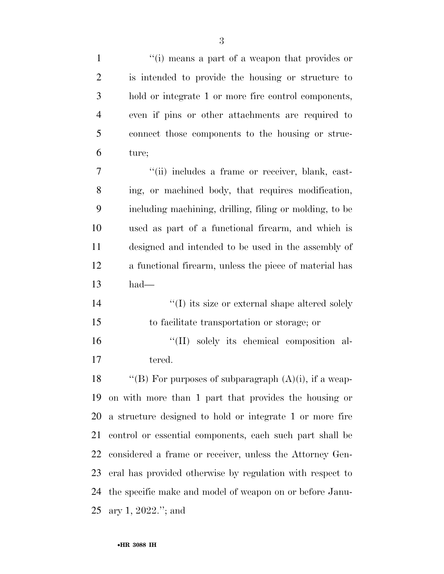| $\mathbf{1}$   | "(i) means a part of a weapon that provides or            |
|----------------|-----------------------------------------------------------|
| $\overline{2}$ | is intended to provide the housing or structure to        |
| 3              | hold or integrate 1 or more fire control components,      |
| $\overline{4}$ | even if pins or other attachments are required to         |
| 5              | connect those components to the housing or struc-         |
| 6              | ture;                                                     |
| $\overline{7}$ | "(ii) includes a frame or receiver, blank, cast-          |
| 8              | ing, or machined body, that requires modification,        |
| 9              | including machining, drilling, filing or molding, to be   |
| 10             | used as part of a functional firearm, and which is        |
| 11             | designed and intended to be used in the assembly of       |
| 12             | a functional firearm, unless the piece of material has    |
| 13             | had                                                       |
| 14             | $\lq\lq$ its size or external shape altered solely        |
| 15             | to facilitate transportation or storage; or               |
| 16             | "(II) solely its chemical composition al-                 |
| 17             | tered.                                                    |
| 18             | "(B) For purposes of subparagraph $(A)(i)$ , if a weap-   |
| 19             | on with more than 1 part that provides the housing or     |
| 20             | a structure designed to hold or integrate 1 or more fire  |
| 21             | control or essential components, each such part shall be  |
| 22             | considered a frame or receiver, unless the Attorney Gen-  |
| 23             | eral has provided otherwise by regulation with respect to |
| 24             | the specific make and model of weapon on or before Janu-  |
| 25             | ary 1, $2022$ ."; and                                     |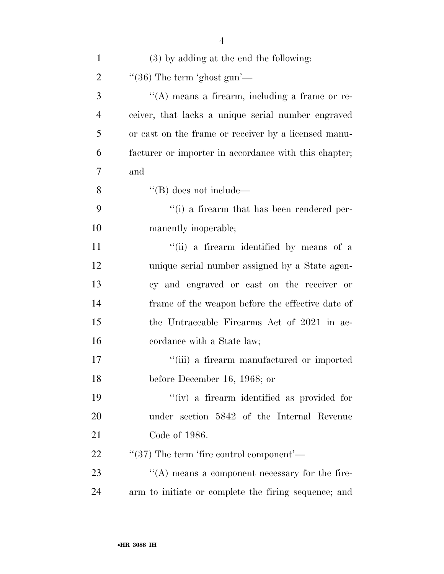| $\mathbf{1}$   | (3) by adding at the end the following:                |
|----------------|--------------------------------------------------------|
| $\overline{2}$ | $\degree$ (36) The term 'ghost gun'—                   |
| 3              | $\lq\lq$ means a firearm, including a frame or re-     |
| $\overline{4}$ | ceiver, that lacks a unique serial number engraved     |
| 5              | or cast on the frame or receiver by a licensed manu-   |
| 6              | facturer or importer in accordance with this chapter;  |
| 7              | and                                                    |
| 8              | $\lq\lq$ (B) does not include—                         |
| 9              | "(i) a firearm that has been rendered per-             |
| 10             | manently inoperable;                                   |
| 11             | "(ii) a firearm identified by means of a               |
| 12             | unique serial number assigned by a State agen-         |
| 13             | cy and engraved or cast on the receiver or             |
| 14             | frame of the weapon before the effective date of       |
| 15             | the Untraceable Firearms Act of 2021 in ac-            |
| 16             | cordance with a State law;                             |
| 17             | "(iii) a firearm manufactured or imported              |
| 18             | before December 16, 1968; or                           |
| 19             | "(iv) a firearm identified as provided for             |
| 20             | under section 5842 of the Internal Revenue             |
| 21             | Code of 1986.                                          |
| 22             | $\cdot\cdot$ (37) The term 'fire control component'—   |
| 23             | $\lq\lq$ (A) means a component necessary for the fire- |
| 24             | arm to initiate or complete the firing sequence; and   |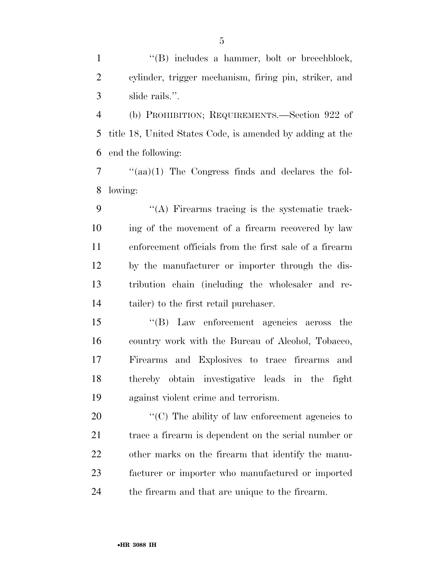1 ''(B) includes a hammer, bolt or breechblock, cylinder, trigger mechanism, firing pin, striker, and slide rails.''.

 (b) PROHIBITION; REQUIREMENTS.—Section 922 of title 18, United States Code, is amended by adding at the end the following:

 ''(aa)(1) The Congress finds and declares the fol-lowing:

 ''(A) Firearms tracing is the systematic track- ing of the movement of a firearm recovered by law enforcement officials from the first sale of a firearm by the manufacturer or importer through the dis- tribution chain (including the wholesaler and re-tailer) to the first retail purchaser.

 ''(B) Law enforcement agencies across the country work with the Bureau of Alcohol, Tobacco, Firearms and Explosives to trace firearms and thereby obtain investigative leads in the fight against violent crime and terrorism.

 $\langle ^{\prime}(C) \rangle$  The ability of law enforcement agencies to 21 trace a firearm is dependent on the serial number or other marks on the firearm that identify the manu- facturer or importer who manufactured or imported the firearm and that are unique to the firearm.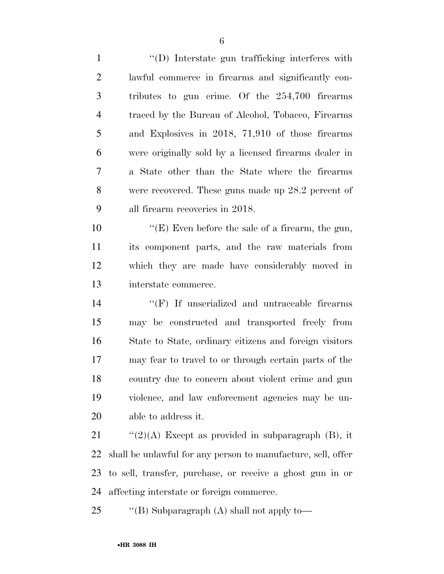''(D) Interstate gun trafficking interferes with lawful commerce in firearms and significantly con- tributes to gun crime. Of the 254,700 firearms traced by the Bureau of Alcohol, Tobacco, Firearms and Explosives in 2018, 71,910 of those firearms were originally sold by a licensed firearms dealer in a State other than the State where the firearms were recovered. These guns made up 28.2 percent of all firearm recoveries in 2018.

 ''(E) Even before the sale of a firearm, the gun, its component parts, and the raw materials from which they are made have considerably moved in interstate commerce.

 $\langle f \rangle$  If unserialized and untraceable firearms may be constructed and transported freely from State to State, ordinary citizens and foreign visitors may fear to travel to or through certain parts of the country due to concern about violent crime and gun violence, and law enforcement agencies may be un-able to address it.

 $\frac{1}{2}(2)(A)$  Except as provided in subparagraph (B), it shall be unlawful for any person to manufacture, sell, offer to sell, transfer, purchase, or receive a ghost gun in or affecting interstate or foreign commerce.

25 "'(B) Subparagraph (A) shall not apply to-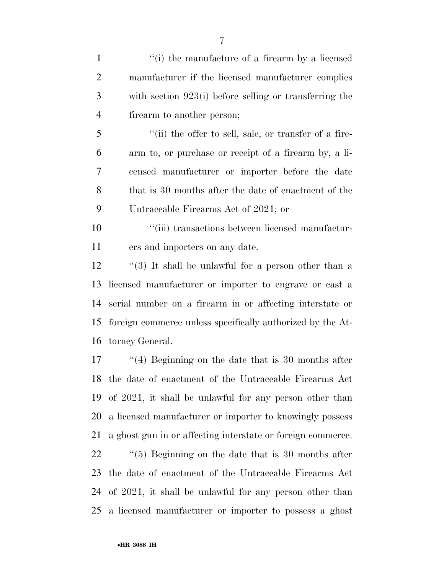| $\mathbf{1}$   | "(i) the manufacture of a firearm by a licensed             |
|----------------|-------------------------------------------------------------|
| $\overline{2}$ | manufacturer if the licensed manufacturer complies          |
| 3              | with section $923(i)$ before selling or transferring the    |
| $\overline{4}$ | firearm to another person;                                  |
| 5              | "(ii) the offer to sell, sale, or transfer of a fire-       |
| 6              | arm to, or purchase or receipt of a firearm by, a li-       |
| 7              | censed manufacturer or importer before the date             |
| 8              | that is 30 months after the date of enactment of the        |
| 9              | Untraceable Firearms Act of 2021; or                        |
| 10             | "(iii) transactions between licensed manufactur-            |
| 11             | ers and importers on any date.                              |
| 12             | $\lq(3)$ It shall be unlawful for a person other than a     |
| 13             | licensed manufacturer or importer to engrave or cast a      |
| 14             | serial number on a firearm in or affecting interstate or    |
| 15             | foreign commerce unless specifically authorized by the At-  |
| 16             | torney General.                                             |
| 17             | $\cdot$ (4) Beginning on the date that is 30 months after   |
|                | 18 the date of enactment of the Untraceable Firearms Act    |
| 19             | of 2021, it shall be unlawful for any person other than     |
| 20             | a licensed manufacturer or importer to knowingly possess    |
| 21             | a ghost gun in or affecting interstate or foreign commerce. |
| 22             | $\lq(5)$ Beginning on the date that is 30 months after      |
| 23             | the date of enactment of the Untraceable Firearms Act       |
| 24             | of 2021, it shall be unlawful for any person other than     |
| 25             | a licensed manufacturer or importer to possess a ghost      |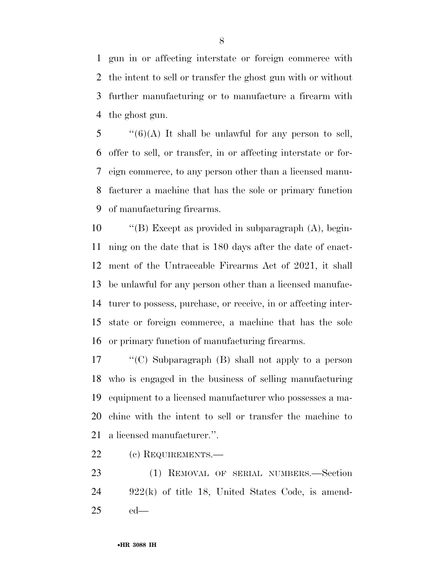gun in or affecting interstate or foreign commerce with the intent to sell or transfer the ghost gun with or without further manufacturing or to manufacture a firearm with the ghost gun.

 "(6)(A) It shall be unlawful for any person to sell, offer to sell, or transfer, in or affecting interstate or for- eign commerce, to any person other than a licensed manu- facturer a machine that has the sole or primary function of manufacturing firearms.

 ''(B) Except as provided in subparagraph (A), begin- ning on the date that is 180 days after the date of enact- ment of the Untraceable Firearms Act of 2021, it shall be unlawful for any person other than a licensed manufac- turer to possess, purchase, or receive, in or affecting inter- state or foreign commerce, a machine that has the sole or primary function of manufacturing firearms.

 ''(C) Subparagraph (B) shall not apply to a person who is engaged in the business of selling manufacturing equipment to a licensed manufacturer who possesses a ma- chine with the intent to sell or transfer the machine to a licensed manufacturer.''.

(c) REQUIREMENTS.—

 (1) REMOVAL OF SERIAL NUMBERS.—Section 922(k) of title 18, United States Code, is amend-ed—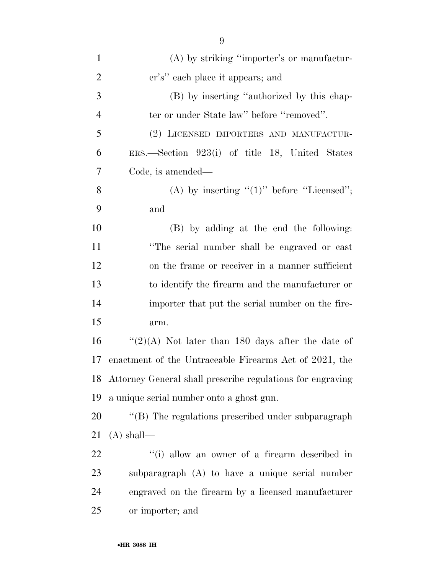| $\mathbf{1}$   | (A) by striking "importer's or manufactur-                    |
|----------------|---------------------------------------------------------------|
| $\overline{2}$ | er's" each place it appears; and                              |
| 3              | (B) by inserting "authorized by this chap-                    |
| $\overline{4}$ | ter or under State law" before "removed".                     |
| 5              | (2) LICENSED IMPORTERS AND MANUFACTUR-                        |
| 6              | $ERS.$ Section 923(i) of title 18, United States              |
| 7              | Code, is amended—                                             |
| 8              | (A) by inserting " $(1)$ " before "Licensed";                 |
| 9              | and                                                           |
| 10             | (B) by adding at the end the following:                       |
| 11             | "The serial number shall be engraved or cast                  |
| 12             | on the frame or receiver in a manner sufficient               |
| 13             | to identify the firearm and the manufacturer or               |
| 14             | importer that put the serial number on the fire-              |
| 15             | arm.                                                          |
| 16             | "(2)(A) Not later than 180 days after the date of             |
| 17             | enactment of the Untraceable Firearms Act of 2021, the        |
|                | 18 Attorney General shall prescribe regulations for engraving |
| 19             | a unique serial number onto a ghost gun.                      |
| 20             | "(B) The regulations prescribed under subparagraph            |
| 21             | $(A)$ shall—                                                  |
| 22             | "(i) allow an owner of a firearm described in                 |
| 23             | subparagraph (A) to have a unique serial number               |
| 24             | engraved on the firearm by a licensed manufacturer            |
| 25             | or importer; and                                              |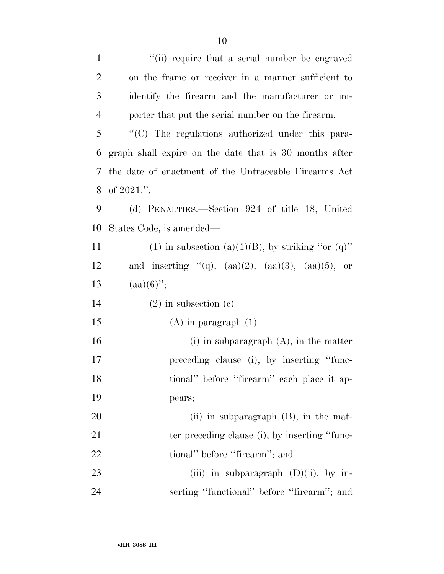| $\mathbf{1}$   | "(ii) require that a serial number be engraved             |
|----------------|------------------------------------------------------------|
| $\overline{2}$ | on the frame or receiver in a manner sufficient to         |
| 3              | identify the firearm and the manufacturer or im-           |
| $\overline{4}$ | porter that put the serial number on the firearm.          |
| 5              | "(C) The regulations authorized under this para-           |
| 6              | graph shall expire on the date that is 30 months after     |
| 7              | the date of enactment of the Untraceable Firearms Act      |
| 8              | of $2021$ .".                                              |
| 9              | (d) PENALTIES.—Section 924 of title 18, United             |
| 10             | States Code, is amended—                                   |
| 11             | (1) in subsection (a)(1)(B), by striking "or (q)"          |
| 12             | and inserting "(q), $(aa)(2)$ , $(aa)(3)$ , $(aa)(5)$ , or |
| 13             | $(aa)(6)$ ";                                               |
| 14             | $(2)$ in subsection $(e)$                                  |
| 15             | $(A)$ in paragraph $(1)$ —                                 |
| 16             | (i) in subparagraph $(A)$ , in the matter                  |
| 17             | preceding clause (i), by inserting "func-                  |
| 18             | tional" before "firearm" each place it ap-                 |
| 19             | pears;                                                     |
| 20             | (ii) in subparagraph $(B)$ , in the mat-                   |
| 21             | ter preceding clause (i), by inserting "func-              |
| 22             | tional" before "firearm"; and                              |
| 23             | (iii) in subparagraph $(D)(ii)$ , by in-                   |
| 24             | serting "functional" before "firearm"; and                 |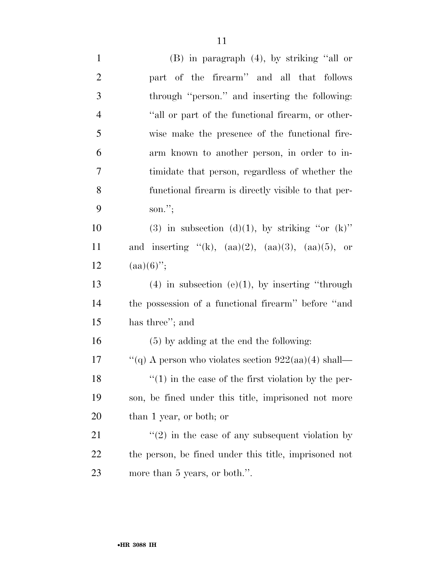| $\overline{2}$ | part of the firearm" and all that follows                  |
|----------------|------------------------------------------------------------|
| 3              | through "person." and inserting the following:             |
| $\overline{4}$ | "all or part of the functional firearm, or other-          |
| 5              | wise make the presence of the functional fire-             |
| 6              | arm known to another person, in order to in-               |
| $\overline{7}$ | timidate that person, regardless of whether the            |
| 8              | functional firearm is directly visible to that per-        |
| 9              | son.";                                                     |
| 10             | (3) in subsection (d)(1), by striking "or $(k)$ "          |
| 11             | and inserting "(k), $(aa)(2)$ , $(aa)(3)$ , $(aa)(5)$ , or |
| 12             | $(aa)(6)$ ";                                               |
| 13             | $(4)$ in subsection $(e)(1)$ , by inserting "through       |
| 14             | the possession of a functional firearm" before "and        |
| 15             | has three"; and                                            |
| 16             | $(5)$ by adding at the end the following:                  |
| 17             | "(q) A person who violates section $922(aa)(4)$ shall—     |
| 18             | $f''(1)$ in the case of the first violation by the per-    |
| 19             | son, be fined under this title, imprisoned not more        |
| 20             | than 1 year, or both; or                                   |

21 ''(2) in the case of any subsequent violation by the person, be fined under this title, imprisoned not more than 5 years, or both.''.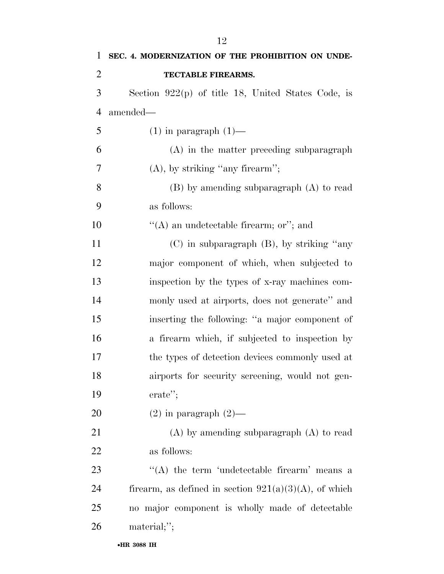| 1              | SEC. 4. MODERNIZATION OF THE PROHIBITION ON UNDE-        |
|----------------|----------------------------------------------------------|
| $\overline{2}$ | TECTABLE FIREARMS.                                       |
| 3              | Section $922(p)$ of title 18, United States Code, is     |
| $\overline{4}$ | amended—                                                 |
| 5              | $(1)$ in paragraph $(1)$ —                               |
| 6              | (A) in the matter preceding subparagraph                 |
| 7              | $(A)$ , by striking "any firearm";                       |
| 8              | $(B)$ by amending subparagraph $(A)$ to read             |
| 9              | as follows:                                              |
| 10             | "(A) an undetectable firearm; or"; and                   |
| 11             | $(C)$ in subparagraph $(B)$ , by striking "any           |
| 12             | major component of which, when subjected to              |
| 13             | inspection by the types of x-ray machines com-           |
| 14             | monly used at airports, does not generate" and           |
| 15             | inserting the following: "a major component of           |
| 16             | a firearm which, if subjected to inspection by           |
| 17             | the types of detection devices commonly used at          |
| 18             | airports for security screening, would not gen-          |
| 19             | $erate$ ";                                               |
| 20             | $(2)$ in paragraph $(2)$ —                               |
| 21             | $(A)$ by amending subparagraph $(A)$ to read             |
| 22             | as follows:                                              |
| 23             | $\lq\lq$ the term 'undetectable firearm' means a         |
| 24             | firearm, as defined in section $921(a)(3)(A)$ , of which |
| 25             | no major component is wholly made of detectable          |
| 26             | material;";                                              |
|                |                                                          |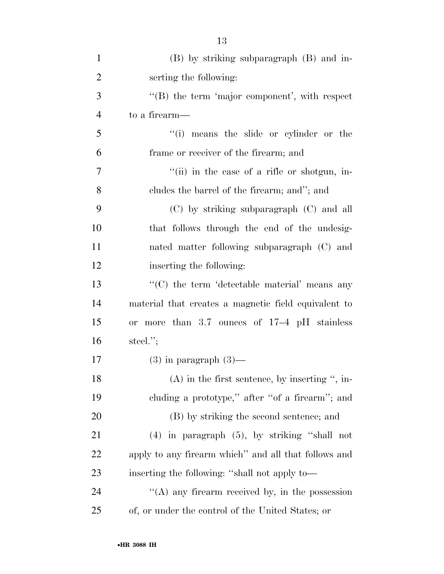| $\mathbf{1}$   | (B) by striking subparagraph (B) and in-               |
|----------------|--------------------------------------------------------|
| $\overline{2}$ | serting the following:                                 |
| 3              | $\lq\lq$ the term 'major component', with respect      |
| $\overline{4}$ | to a firearm—                                          |
| 5              | "(i) means the slide or cylinder or the                |
| 6              | frame or receiver of the firearm; and                  |
| 7              | "(ii) in the case of a rifle or shotgun, in-           |
| 8              | cludes the barrel of the firearm; and"; and            |
| 9              | $(C)$ by striking subparagraph $(C)$ and all           |
| 10             | that follows through the end of the undesig-           |
| 11             | nated matter following subparagraph (C) and            |
| 12             | inserting the following:                               |
| 13             | "(C) the term 'detectable material' means any          |
| 14             | material that creates a magnetic field equivalent to   |
| 15             | more than $3.7$ ounces of $17-4$ pH stainless<br>0r    |
| 16             | steel. $";$                                            |
| 17             | $(3)$ in paragraph $(3)$ —                             |
| 18             | $(A)$ in the first sentence, by inserting ", in-       |
| 19             | cluding a prototype," after "of a firearm"; and        |
| 20             | (B) by striking the second sentence; and               |
| 21             | $(4)$ in paragraph $(5)$ , by striking "shall not      |
| 22             | apply to any firearm which" and all that follows and   |
| 23             | inserting the following: "shall not apply to—          |
| 24             | $\cdot$ (A) any firearm received by, in the possession |
| 25             | of, or under the control of the United States; or      |